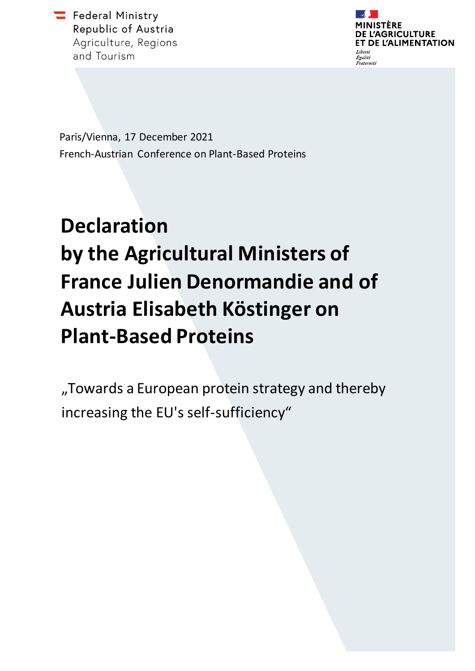Federal Ministry Republic of Austria Agriculture, Regions and Tourism



Paris/Vienna, 17 December 2021 French-Austrian Conference on Plant-Based Proteins

## **Declaration by the Agricultural Ministers of France Julien Denormandie and of Austria Elisabeth Köstinger on Plant-Based Proteins**

"Towards a European protein strategy and thereby increasing the EU's self-sufficiency"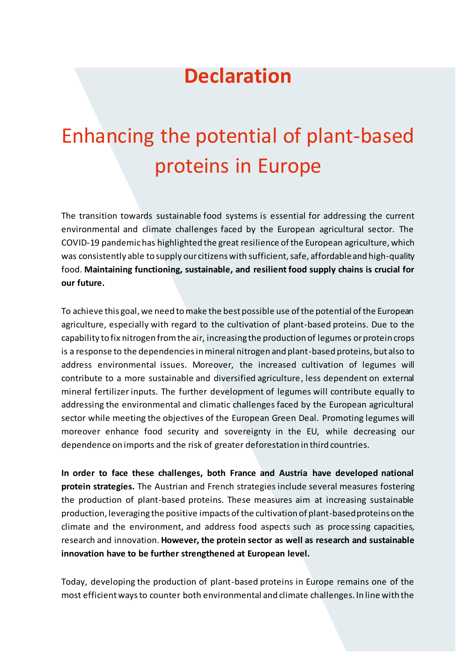## **Declaration**

## Enhancing the potential of plant-based proteins in Europe

The transition towards sustainable food systems is essential for addressing the current environmental and climate challenges faced by the European agricultural sector. The COVID-19 pandemic has highlighted the great resilience of the European agriculture, which was consistently able to supply our citizens with sufficient, safe, affordable and high-quality food. **Maintaining functioning, sustainable, and resilient food supply chains is crucial for our future.**

To achieve this goal, we need to make the best possible use of the potential of the European agriculture, especially with regard to the cultivation of plant-based proteins. Due to the capability to fix nitrogen from the air, increasing the production of legumes or protein crops is a response to the dependencies in mineral nitrogen and plant-based proteins, but also to address environmental issues. Moreover, the increased cultivation of legumes will contribute to a more sustainable and diversified agriculture, less dependent on external mineral fertilizer inputs. The further development of legumes will contribute equally to addressing the environmental and climatic challenges faced by the European agricultural sector while meeting the objectives of the European Green Deal. Promoting legumes will moreover enhance food security and sovereignty in the EU, while decreasing our dependence on imports and the risk of greater deforestation in third countries.

**In order to face these challenges, both France and Austria have developed national protein strategies.** The Austrian and French strategies include several measures fostering the production of plant-based proteins. These measures aim at increasing sustainable production, leveraging the positive impacts of the cultivation of plant-based proteins on the climate and the environment, and address food aspects such as proce ssing capacities, research and innovation. **However, the protein sector as well as research and sustainable innovation have to be further strengthened at European level.**

Today, developing the production of plant-based proteins in Europe remains one of the most efficient ways to counter both environmental and climate challenges. In line with the